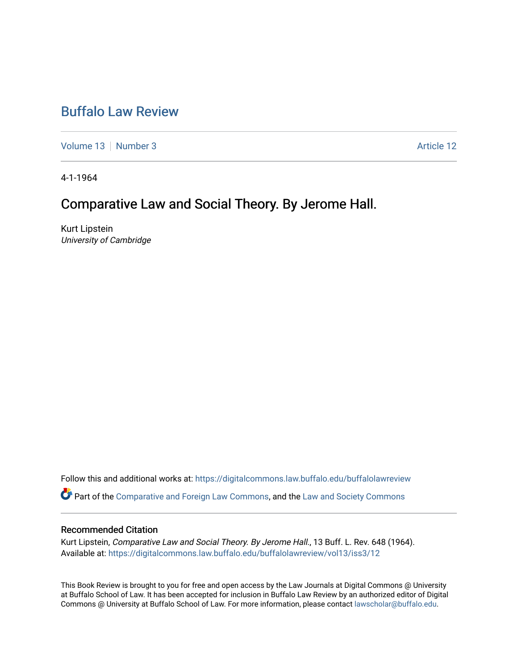# [Buffalo Law Review](https://digitalcommons.law.buffalo.edu/buffalolawreview)

[Volume 13](https://digitalcommons.law.buffalo.edu/buffalolawreview/vol13) [Number 3](https://digitalcommons.law.buffalo.edu/buffalolawreview/vol13/iss3) Article 12

4-1-1964

## Comparative Law and Social Theory. By Jerome Hall.

Kurt Lipstein University of Cambridge

Follow this and additional works at: [https://digitalcommons.law.buffalo.edu/buffalolawreview](https://digitalcommons.law.buffalo.edu/buffalolawreview?utm_source=digitalcommons.law.buffalo.edu%2Fbuffalolawreview%2Fvol13%2Fiss3%2F12&utm_medium=PDF&utm_campaign=PDFCoverPages) 

Part of the [Comparative and Foreign Law Commons,](http://network.bepress.com/hgg/discipline/836?utm_source=digitalcommons.law.buffalo.edu%2Fbuffalolawreview%2Fvol13%2Fiss3%2F12&utm_medium=PDF&utm_campaign=PDFCoverPages) and the [Law and Society Commons](http://network.bepress.com/hgg/discipline/853?utm_source=digitalcommons.law.buffalo.edu%2Fbuffalolawreview%2Fvol13%2Fiss3%2F12&utm_medium=PDF&utm_campaign=PDFCoverPages) 

#### Recommended Citation

Kurt Lipstein, Comparative Law and Social Theory. By Jerome Hall., 13 Buff. L. Rev. 648 (1964). Available at: [https://digitalcommons.law.buffalo.edu/buffalolawreview/vol13/iss3/12](https://digitalcommons.law.buffalo.edu/buffalolawreview/vol13/iss3/12?utm_source=digitalcommons.law.buffalo.edu%2Fbuffalolawreview%2Fvol13%2Fiss3%2F12&utm_medium=PDF&utm_campaign=PDFCoverPages)

This Book Review is brought to you for free and open access by the Law Journals at Digital Commons @ University at Buffalo School of Law. It has been accepted for inclusion in Buffalo Law Review by an authorized editor of Digital Commons @ University at Buffalo School of Law. For more information, please contact [lawscholar@buffalo.edu](mailto:lawscholar@buffalo.edu).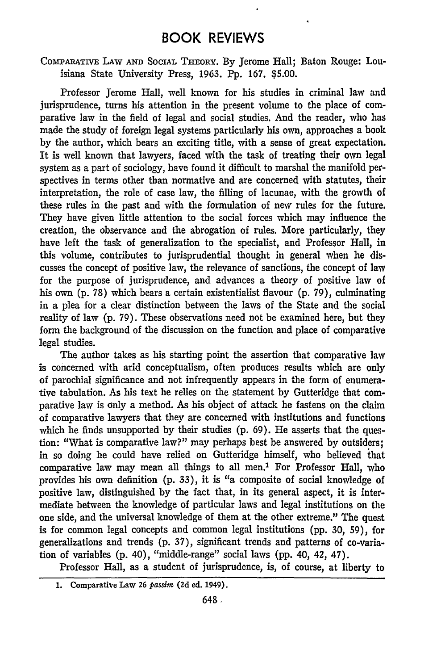### BOOK REVIEWS

COwARATIVE LAW **AND** SocIAl **THEoRY.** By Jerome Hall; Baton Rouge: Louisiana State University Press, 1963. Pp. 167. **\$5.00.**

Professor Jerome Hall, well known for his studies in criminal law and jurisprudence, turns his attention in the present volume to the place of comparative law in the field of legal and social studies. And the reader, who has made the study of foreign legal systems particularly his own, approaches a book by the author, which bears an exciting title, with a sense of great expectation. It is well known that lawyers, faced with the task of treating their own legal system as a part of sociology, have found it difficult to marshal the manifold perspectives in terms other than normative and are concerned with statutes, their interpretation, the role of case law, the filling of lacunae, with the growth of these rules in the past and with the formulation of new rules for the future. They have given little attention to the social forces which may influence the creation, the observance and the abrogation of rules. More particularly, they have left the task of generalization to the specialist, and Professor Hall, in this volume, contributes to jurisprudential thought in general when he discusses the concept of positive law, the relevance of sanctions, the concept of law for the purpose of jurisprudence, and advances a theory of positive law of his own **(p.** 78) which bears a certain existentialist flavour **(p.** 79), culminating in a plea for a clear distinction between the laws of the State and the social reality of law **(p.** 79). These observations need not be examined here, but they form the background of the discussion on the function and place of comparative legal studies.

The author takes as his starting point the assertion that comparative law is concerned with arid conceptualism, often produces results which are only of parochial significance and not infrequently appears in the form of enumerative tabulation. As his text he relies on the statement by Gutteridge that comparative law is only a method. As his object of attack he fastens on the claim of comparative lawyers that they are concerned with institutions and functions which he finds unsupported by their studies (p. 69). He asserts that the question: "What is comparative law?" may perhaps best be answered by outsiders; in so doing he could have relied on Gutteridge himself, who believed that comparative law may mean all things to all men.' For Professor Hall, who provides his own definition (p. 33), it is "a composite of social knowledge of positive law, distinguished by the fact that, in its general aspect, it is intermediate between the knowledge of particular laws and legal institutions on the one side, and the universal knowledge of them at the other extreme." The quest is for common legal concepts and common legal institutions (pp. 30, 59), for generalizations and trends (p. 37), significant trends and patterns of co-variation of variables (p. 40), "middle-range" social laws (pp. 40, 42, 47).

Professor Hall, as a student of jurisprudence, is, of course, at liberty to

**<sup>1.</sup> Comparative Law 26** *passim* **(2d ed. 1949).**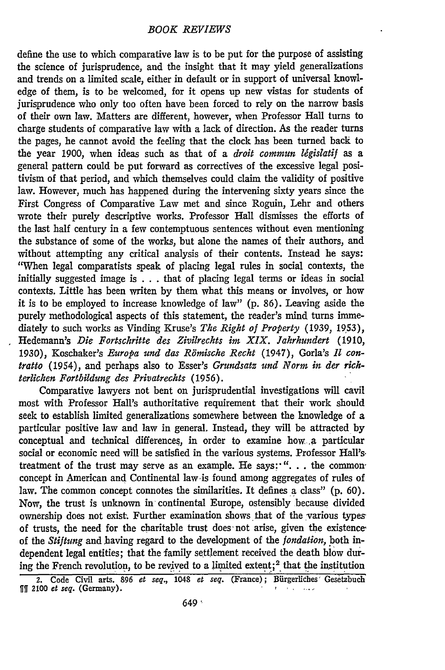define the use to which comparative law is to be put for the purpose of assisting the science of jurisprudence, and the insight that it may yield generalizations and trends on a limited scale, either in default or in support of universal knowledge of them, is to be welcomed, for it opens up new vistas for students of jurisprudence who only too often have been forced to rely on the narrow basis of their own law. Matters are different, however, when Professor Hall turns to charge students of comparative law with a lack of direction. As the reader turns the pages, he cannot avoid the feeling that the clock has been turned back to the year 1900, when ideas such as that of a *droit commun ligislatif* as a general pattern could be put forward as correctives of the excessive legal positivism of that period, and which themselves could claim the validity of positive law. However, much has happened during the intervening sixty years since the First Congress of Comparative Law met and since Roguin, Lehr and others wrote their purely descriptive works. Professor Hall dismisses the efforts of the last half century in a few contemptuous sentences without even mentioning the substance of some of the works, but alone the names of their authors, and without attempting any critical analysis of their contents. Instead he says: "When legal comparatists speak of placing legal rules in social contexts, the initially suggested image is . . . that of placing legal terms or ideas in social contexts. Little has been writen by them what this means or involves, or how it is to be employed to increase knowledge of law" (p. 86). Leaving aside the purely methodological aspects of this statement, the reader's mind turns immediately to such works as Vinding Kruse's *The Right of Property* (1939, 1953), Hedemann's *Die Fortschritte des Zivilrechts im XIX. Jahrhundert* (1910, 1930), Koschaker's *Europa und das Riimische Recht* (1947), Gorla's *11 contratto* (1954), and perhaps also to Esser's *Grundsatz und Norm in der richterlichen Fortbildung des Privatrechts* (1956).

Comparative lawyers not bent on jurisprudential investigations will cavil most with Professor Hall's authoritative requirement that their work should seek to establish limited generalizations somewhere between the knowledge of a particular positive law and law in general. Instead, they will be attracted by conceptual and technical differences, in order to examine how a particular social or economic need will be satisfied in the various systems. Professor Hall's. treatment of the trust may serve as an example. He says *".* **.** . the common concept in American and Continental law-is found among aggregates of rules of law. The common concept connotes the similarities. It defines a class" (p. 60). Now, the trust is unknown in continental Europe, ostensibly because divided ownership does not exist. Further examination shows that of the various types of trusts, the need for the charitable trust does not arise, given the existence of the *Stiftung* and having regard to the development of the *jondation,* both independent legal entities; that the family settlement received the death blow during the French revolution, to be revived to a limited extent;<sup>2</sup> that the institution

<sup>2.</sup> Code Civil arts. 896 *et seq.*, 1048 *et seq.* (France); Bürgerliches Gesetzbuc  $\llbracket \rrbracket$  2100 *et seq.* (Germany).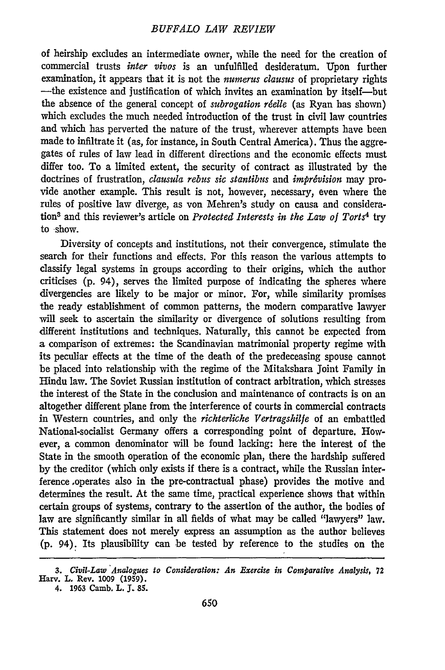of heirship excludes an intermediate owner, while the need for the creation of commercial trusts *inter vivos* is an unfulfilled desideratum. Upon further examination, it appears that it is not the *numerus clausus* of proprietary rights -the existence and justification of which invites an examination by itself-but the absence of the general concept of *subrogation réelle* (as Ryan has shown) which excludes the much needed introduction of the trust in civil law countries and which has perverted the nature of the trust, wherever attempts have been made to infiltrate it (as, for instance, in South Central America). Thus the aggregates of rules of law lead in different directions and the economic effects must differ too. To a limited extent, the security of contract as illustrated by the doctrines of frustration, *clausula rebus sic stantibus* and *impr6vision* may provide another example. This result is not, however, necessary, even where the rules of positive law diverge, as von Mehren's study on causa and consideration3 and this reviewer's article on *Protected Interests in the Law of Torts4 try* to show.

Diversity of concepts and institutions, not their convergence, stimulate the search for their functions and effects. For this reason the various attempts to classify legal systems in groups according to their origins, which the author criticises (p. 94), serves the limited purpose of indicating the spheres where divergencies are likely to be major or minor. For, while similarity promises the ready establishment of common patterns, the modern comparative lawyer will seek to ascertain the similarity or divergence of solutions resulting from different institutions and techniques. Naturally, this cannot be expected from a comparison of extremes: the Scandinavian matrimonial property regime with its peculiar effects at the time of the death of the predeceasing spouse cannot be placed into relationship with the regime of the Mitakshara Joint Family in Hindu law. The Soviet Russian institution of contract arbitration, which stresses the interest of the State in the conclusion and maintenance of contracts is on an altogether different plane from the interference of courts in commercial contracts in Western countries, and only the *richterliche Vertragshilfe* of an embattled National-socialist Germany offers a corresponding point of departure. However, a common denominator will be found lacking: here the interest of the State in the smooth operation of the economic plan, there the hardship suffered by the creditor (which only exists if there is a contract, while the Russian interference ,operates also in the pre-contractual phase) provides the motive and determines the result. At the same time, practical experience shows that within certain groups of systems, contrary to the assertion of the author, the bodies of law are significantly similar in all fields of what may be called "lawyers" law. This statement does not merely express an assumption as the author believes (p. 94). Its plausibility can be tested by reference to the studies on the

*<sup>3.</sup> Civil-Law Analogues to Consideration: An Exercise in Comparative Analysis,* **72 Harv. L.** Rev. **1009 (1959).**

**<sup>4. 1963</sup> Camb. L. 3. 85.**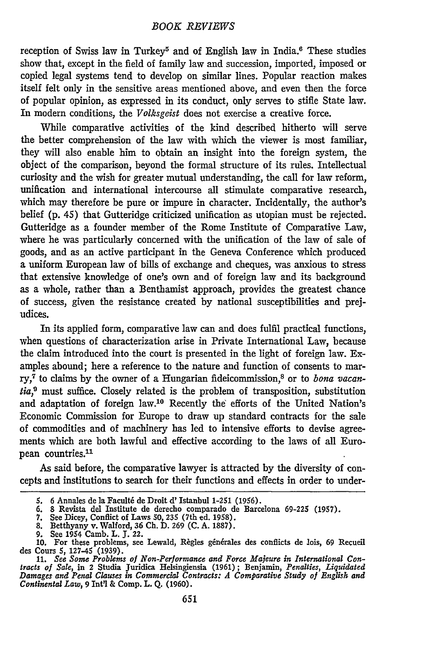reception of Swiss law in Turkey<sup>5</sup> and of English law in India.<sup>6</sup> These studies show that, except in the field of family law and succession, imported, imposed or copied legal systems tend to develop on similar lines. Popular reaction makes itself felt only in the sensitive areas mentioned above, and even then the force of popular opinion, as expressed in its conduct, only serves to stifle State law. In modern conditions, the *Volksgeist* does not exercise a creative force.

While comparative activities of the kind described hitherto will serve the better comprehension of the law with which the viewer is most familiar, they will also enable him to obtain an insight into the foreign system, the object of the comparison, beyond the formal structure of its rules. Intellectual curiosity and the wish for greater mutual understanding, the call for law reform, unification and international intercourse all stimulate comparative research, which may therefore be pure or impure in character. Incidentally, the author's belief (p. 45) that Gutteridge criticized unification as utopian must be rejected. Gutteridge as a founder member of the Rome Institute of Comparative Law, where he was particularly concerned with the unification of the law of sale of goods, and as an active participant in the Geneva Conference which produced a uniform European law of bills of exchange and cheques, was anxious to stress that extensive knowledge of one's own and of foreign law and its background as a whole, rather than a Benthamist approach, provides the greatest chance of success, given the resistance created by national susceptibilities and prejudices.

In its applied form, comparative law can and does fulfil practical functions, when questions of characterization arise in Private International Law, because the claim introduced into the court is presented in the light of foreign law. Examples abound; here a reference to the nature and function of consents to marry,<sup>7</sup> to claims by the owner of a Hungarian fideicommission,<sup>8</sup> or to *bona vacantia*,<sup>9</sup> must suffice. Closely related is the problem of transposition, substitution and adaptation of foreign law.'0 Recently the efforts of the United Nation's Economic Commission for Europe to draw up standard contracts for the sale of commodities and of machinery has led to intensive efforts to devise agreements which are both lawful and effective according to the laws of all European countries.<sup>11</sup>

As said before, the comparative lawyer is attracted by the diversity of concepts and institutions to search for their functions and effects in order to under-

*<sup>5.</sup>* **6 Annales** de **la Faculti** de **Droit d'** Istanbul **1-251 (1956). 6. 8 Revista del** Institute de derecho comparado **de** Barcelona **69-225 (1957).**

**<sup>7.</sup> See Dicey,** Conflict of Laws **50, 235 (7th ed. 1958). 8.** Betthyany v. Walford, **36 Ch. D. 269 (C. A. 1887).**

**<sup>9.</sup>** See 1954 Camb. L. **J.** 22.

**<sup>10.</sup>** For these problems, see Lewald, Rigles ginfrales des conflicts de lois, **69** Recueil

des Cours 5, 127-45 (1939).<br>11. See Some Problems of Non-Performance and Force Majeure in International Con-<br>11. See Some Problems of Non-Performance and Force Majeure in International Con-<br>12. Damages and Penal Clauses in *Continental Law,* **9** Intl **&** Comp. **L. Q. (1960).**